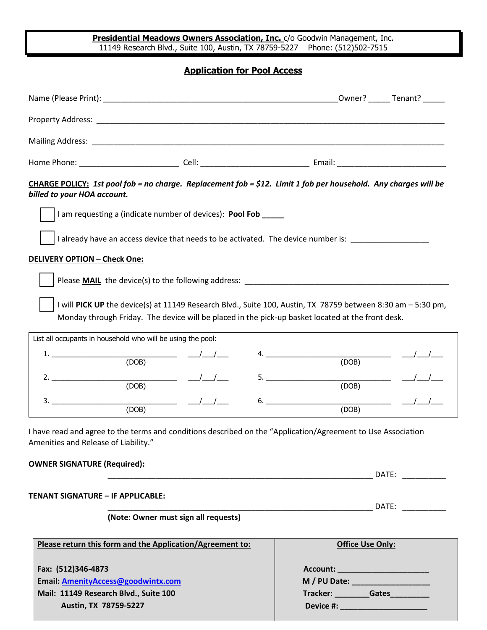**Presidential Meadows Owners Association, Inc.** c/o Goodwin Management, Inc. 11149 Research Blvd., Suite 100, Austin, TX 78759-5227 Phone: (512)502-7515

## **Application for Pool Access**

| Mailing Address: Note that the contract of the contract of the contract of the contract of the contract of the                                                                                                                                                             |  |                                      |                                                                                                                                                                                                                               |
|----------------------------------------------------------------------------------------------------------------------------------------------------------------------------------------------------------------------------------------------------------------------------|--|--------------------------------------|-------------------------------------------------------------------------------------------------------------------------------------------------------------------------------------------------------------------------------|
|                                                                                                                                                                                                                                                                            |  |                                      |                                                                                                                                                                                                                               |
| CHARGE POLICY: 1st pool fob = no charge. Replacement fob = \$12. Limit 1 fob per household. Any charges will be<br>billed to your HOA account.                                                                                                                             |  |                                      |                                                                                                                                                                                                                               |
| I am requesting a (indicate number of devices): Pool Fob ____                                                                                                                                                                                                              |  |                                      |                                                                                                                                                                                                                               |
| I already have an access device that needs to be activated. The device number is: _________________                                                                                                                                                                        |  |                                      |                                                                                                                                                                                                                               |
| <b>DELIVERY OPTION - Check One:</b>                                                                                                                                                                                                                                        |  |                                      |                                                                                                                                                                                                                               |
|                                                                                                                                                                                                                                                                            |  |                                      |                                                                                                                                                                                                                               |
| I will PICK UP the device(s) at 11149 Research Blvd., Suite 100, Austin, TX 78759 between 8:30 am - 5:30 pm,<br>Monday through Friday. The device will be placed in the pick-up basket located at the front desk.                                                          |  |                                      |                                                                                                                                                                                                                               |
| List all occupants in household who will be using the pool:                                                                                                                                                                                                                |  |                                      |                                                                                                                                                                                                                               |
| 1. $\sqrt{ODB}$                                                                                                                                                                                                                                                            |  | 4. $\overline{\qquad \qquad }$ (DOB) |                                                                                                                                                                                                                               |
| 2. $\overline{\phantom{a} \phantom{a}}$<br>(DOB)                                                                                                                                                                                                                           |  | (DOB)                                |                                                                                                                                                                                                                               |
| $\frac{3.2}{(DOB)}$ $\frac{1}{1.2}$                                                                                                                                                                                                                                        |  | (DOB)                                |                                                                                                                                                                                                                               |
| I have read and agree to the terms and conditions described on the "Application/Agreement to Use Association<br>Amenities and Release of Liability."                                                                                                                       |  |                                      |                                                                                                                                                                                                                               |
| <b>OWNER SIGNATURE (Required):</b><br>DATE: <b>with a set of the set of the set of the set of the set of the set of the set of the set of the set of the set of the set of the set of the set of the set of the set of the set of the set of the set of the set of the</b> |  |                                      |                                                                                                                                                                                                                               |
|                                                                                                                                                                                                                                                                            |  |                                      |                                                                                                                                                                                                                               |
| <b>TENANT SIGNATURE - IF APPLICABLE:</b>                                                                                                                                                                                                                                   |  |                                      | DATE: and the state of the state of the state of the state of the state of the state of the state of the state of the state of the state of the state of the state of the state of the state of the state of the state of the |
| (Note: Owner must sign all requests)                                                                                                                                                                                                                                       |  |                                      |                                                                                                                                                                                                                               |
| Please return this form and the Application/Agreement to:                                                                                                                                                                                                                  |  | <b>Office Use Only:</b>              |                                                                                                                                                                                                                               |
| Fax: (512)346-4873                                                                                                                                                                                                                                                         |  | Account: __________________________  |                                                                                                                                                                                                                               |
| Email: AmenityAccess@goodwintx.com                                                                                                                                                                                                                                         |  |                                      |                                                                                                                                                                                                                               |
| Mail: 11149 Research Blvd., Suite 100                                                                                                                                                                                                                                      |  | Tracker: _________Gates__________    |                                                                                                                                                                                                                               |
| Austin, TX 78759-5227                                                                                                                                                                                                                                                      |  | Device #: ________________________   |                                                                                                                                                                                                                               |